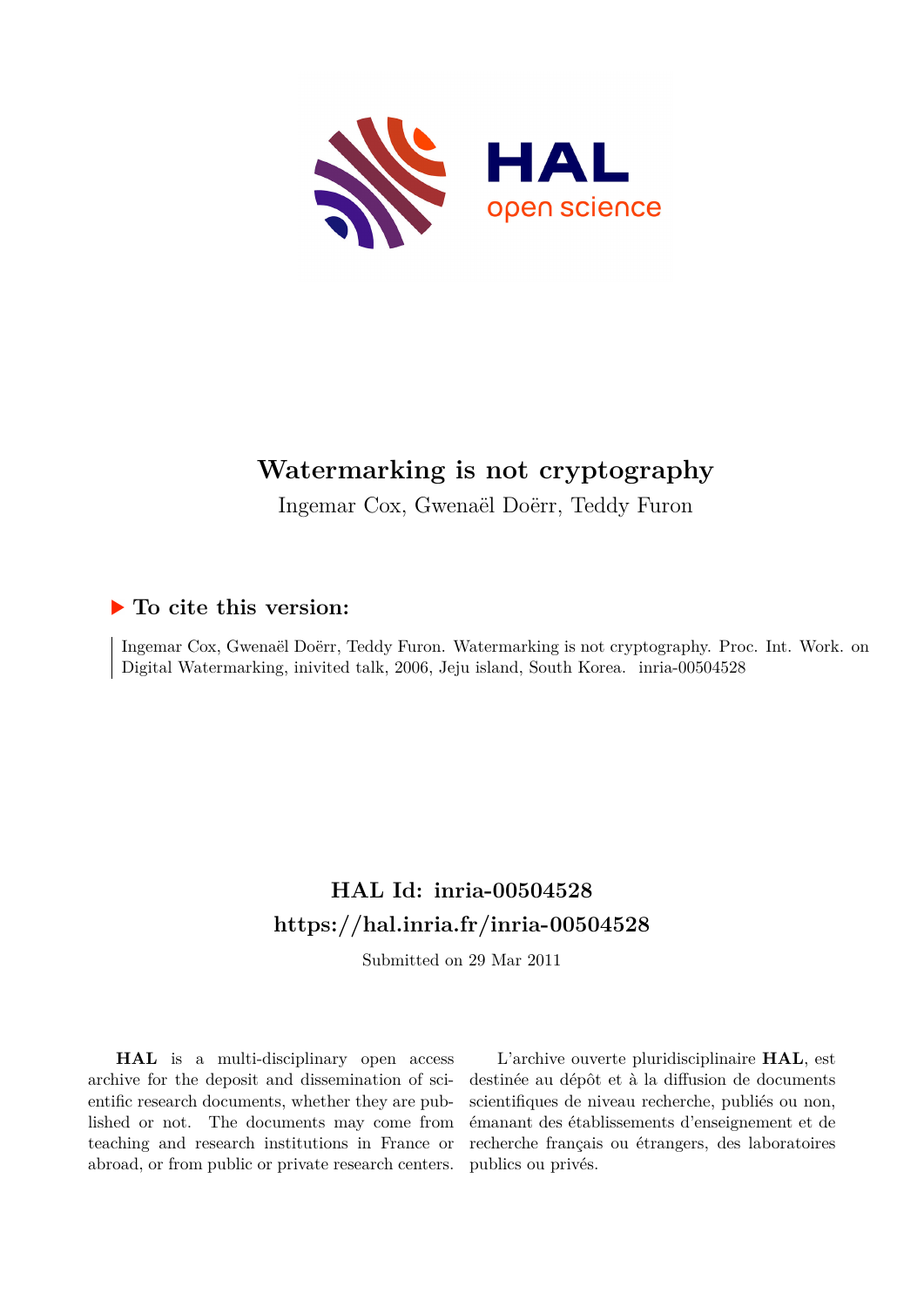

# **Watermarking is not cryptography**

Ingemar Cox, Gwenaël Doërr, Teddy Furon

# **To cite this version:**

Ingemar Cox, Gwenaël Doërr, Teddy Furon. Watermarking is not cryptography. Proc. Int. Work. on Digital Watermarking, inivited talk, 2006, Jeju island, South Korea. inria-00504528

# **HAL Id: inria-00504528 <https://hal.inria.fr/inria-00504528>**

Submitted on 29 Mar 2011

**HAL** is a multi-disciplinary open access archive for the deposit and dissemination of scientific research documents, whether they are published or not. The documents may come from teaching and research institutions in France or abroad, or from public or private research centers.

L'archive ouverte pluridisciplinaire **HAL**, est destinée au dépôt et à la diffusion de documents scientifiques de niveau recherche, publiés ou non, émanant des établissements d'enseignement et de recherche français ou étrangers, des laboratoires publics ou privés.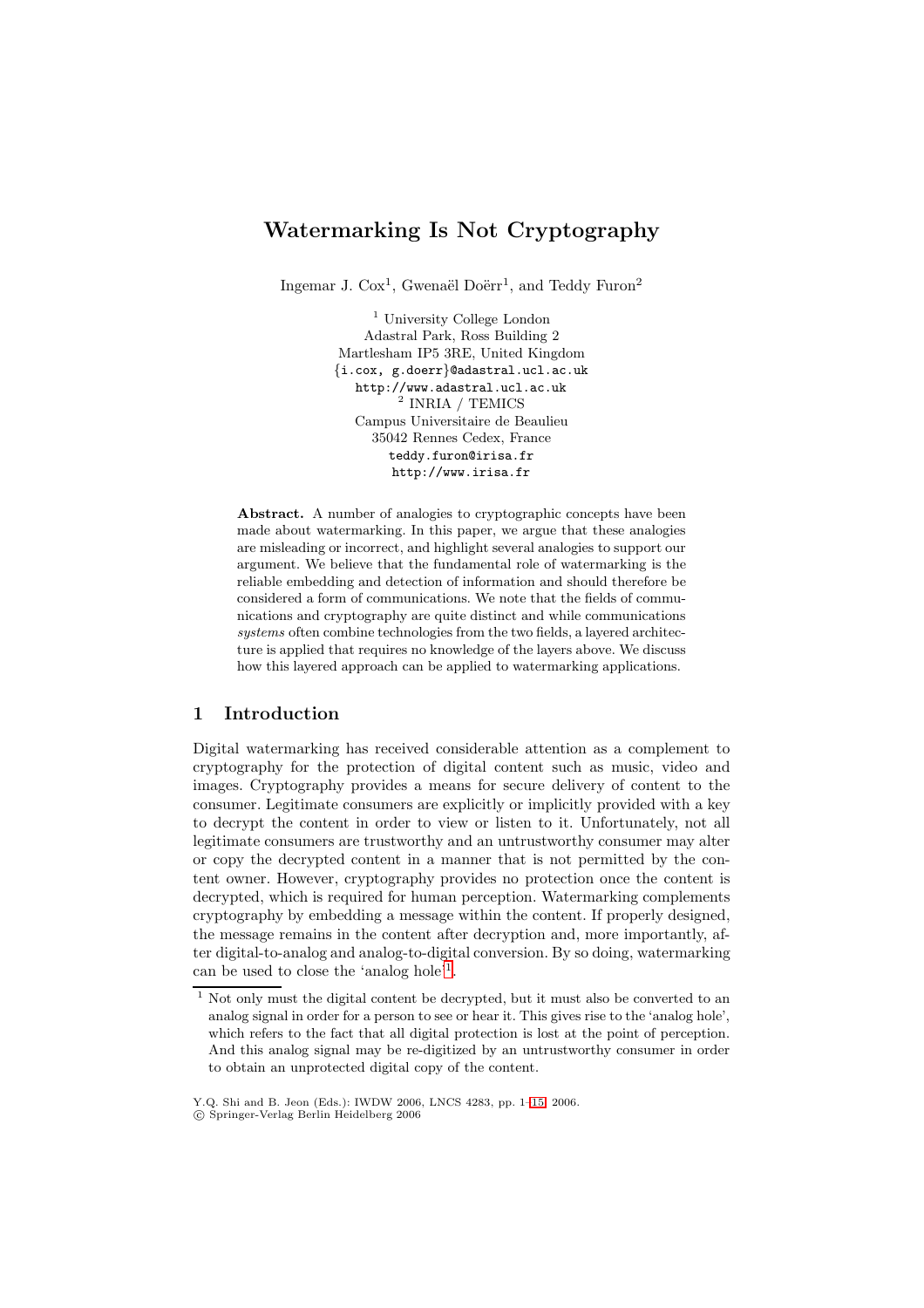# **Watermarking Is Not Cryptography**

Ingemar J.  $\text{Cox}^1$ , Gwenaël Doërr<sup>1</sup>, and Teddy Furon<sup>2</sup>

<sup>1</sup> University College London Adastral Park, Ross Building 2 Martlesham IP5 3RE, United Kingdom *{*i.cox, g.doerr*}*@adastral.ucl.ac.uk http://www.adastral.ucl.ac.uk  $^2$  INRIA / TEMICS Campus Universitaire de Beaulieu 35042 Rennes Cedex, France teddy.furon@irisa.fr http://www.irisa.fr

Abstract. A number of analogies to cryptographic concepts have been made about watermarking. In this paper, we argue that these analogies are misleading or incorrect, and highlight several analogies to support our argument. We believe that the fundamental role of watermarking is the reliable embedding and detection of information and should therefore be considered a form of communications. We note that the fields of communications and cryptography are quite distinct and while communications *systems* often combine technologies from the two fields, a layered architecture is applied that requires no knowledge of the layers above. We discuss how this layered approach can be applied to watermarking applications.

# **1 Introduction**

Digital watermarking has received considerable attention as a complement to cryptography for the protection of digital content such as music, video and images. Cryptography provides a means for secure delivery of content to the consumer. Legitimate consumers are explicitly or implicitly provided with a key to decrypt the content in order to view or listen to it. Unfortunately, not all legitimate consumers are trustworthy and an untrustworthy consumer may alter or copy the decrypted content in a manner that is not permitted by the content owner. However, cryptography provides no protection once the content is decrypted, which is required for human perception. Watermarking complements cryptography by embedding a message within the content. If properly designed, the message remains in the content after decryption and, more importantly, after digital-to-analog and analog-to-digital conversion. By so doing, watermarking can be used to close the 'analog hole'<sup>1</sup>.

<sup>1</sup> Not only must the digital content be decrypted, but it must also be converted to an analog signal in order for a person to see or hear it. This gives rise to the 'analog hole', which refers to the fact that all digital protection is lost at the point of perception. And this analog signal may be re-digitized by an untrustworthy consumer in order to obtain an unprotected digital copy of the content.

Y.Q. Shi and B. Jeon (Eds.): IWDW 2006, LNCS 4283, pp. 1–15, 2006.

<sup>-</sup>c Springer-Verlag Berlin Heidelberg 2006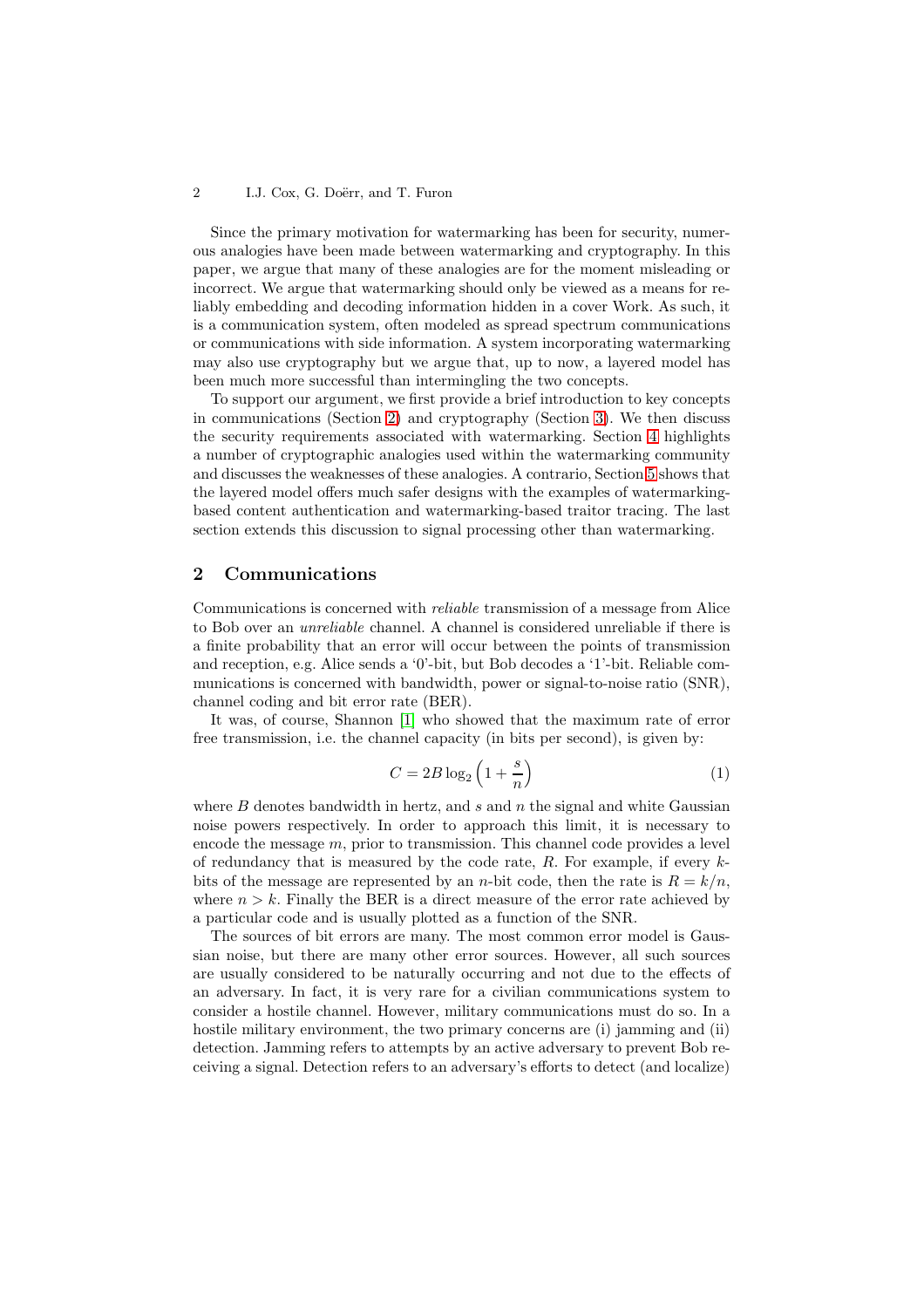Since the primary motivation for watermarking has been for security, numerous analogies have been made between watermarking and cryptography. In this paper, we argue that many of these analogies are for the moment misleading or incorrect. We argue that watermarking should only be viewed as a means for reliably embedding and decoding information hidden in a cover Work. As such, it is a communication system, often modeled as spread spectrum communications or communications with side information. A system incorporating watermarking may also use cryptography but we argue that, up to now, a layered model has been much more successful than intermingling the two concepts.

To support our argument, we first provide a brief introduction to key concepts in communications (Section 2) and cryptography (Section 3). We then discuss the security requirements associated with watermarking. Section 4 highlights a number of cryptographic analogies used within the watermarking community and discusses the weaknesses of these analogies. A contrario, Section 5 shows that the layered model offers much safer designs with the examples of watermarkingbased content authentication and watermarking-based traitor tracing. The last section extends this discussion to signal processing other than watermarking.

# **2 Communications**

Communications is concerned with *reliable* transmission of a message from Alice to Bob over an *unreliable* channel. A channel is considered unreliable if there is a finite probability that an error will occur between the points of transmission and reception, e.g. Alice sends a '0'-bit, but Bob decodes a '1'-bit. Reliable communications is concerned with bandwidth, power or signal-to-noise ratio (SNR), channel coding and bit error rate (BER).

It was, of course, Shannon [1] who showed that the maximum rate of error free transmission, i.e. the channel capacity (in bits per second), is given by:

$$
C = 2B \log_2 \left( 1 + \frac{s}{n} \right) \tag{1}
$$

where  $B$  denotes bandwidth in hertz, and  $s$  and  $n$  the signal and white Gaussian noise powers respectively. In order to approach this limit, it is necessary to encode the message  $m$ , prior to transmission. This channel code provides a level of redundancy that is measured by the code rate,  $R$ . For example, if every  $k$ bits of the message are represented by an *n*-bit code, then the rate is  $R = k/n$ , where  $n>k$ . Finally the BER is a direct measure of the error rate achieved by a particular code and is usually plotted as a function of the SNR.

The sources of bit errors are many. The most common error model is Gaussian noise, but there are many other error sources. However, all such sources are usually considered to be naturally occurring and not due to the effects of an adversary. In fact, it is very rare for a civilian communications system to consider a hostile channel. However, military communications must do so. In a hostile military environment, the two primary concerns are (i) jamming and (ii) detection. Jamming refers to attempts by an active adversary to prevent Bob receiving a signal. Detection refers to an adversary's efforts to detect (and localize)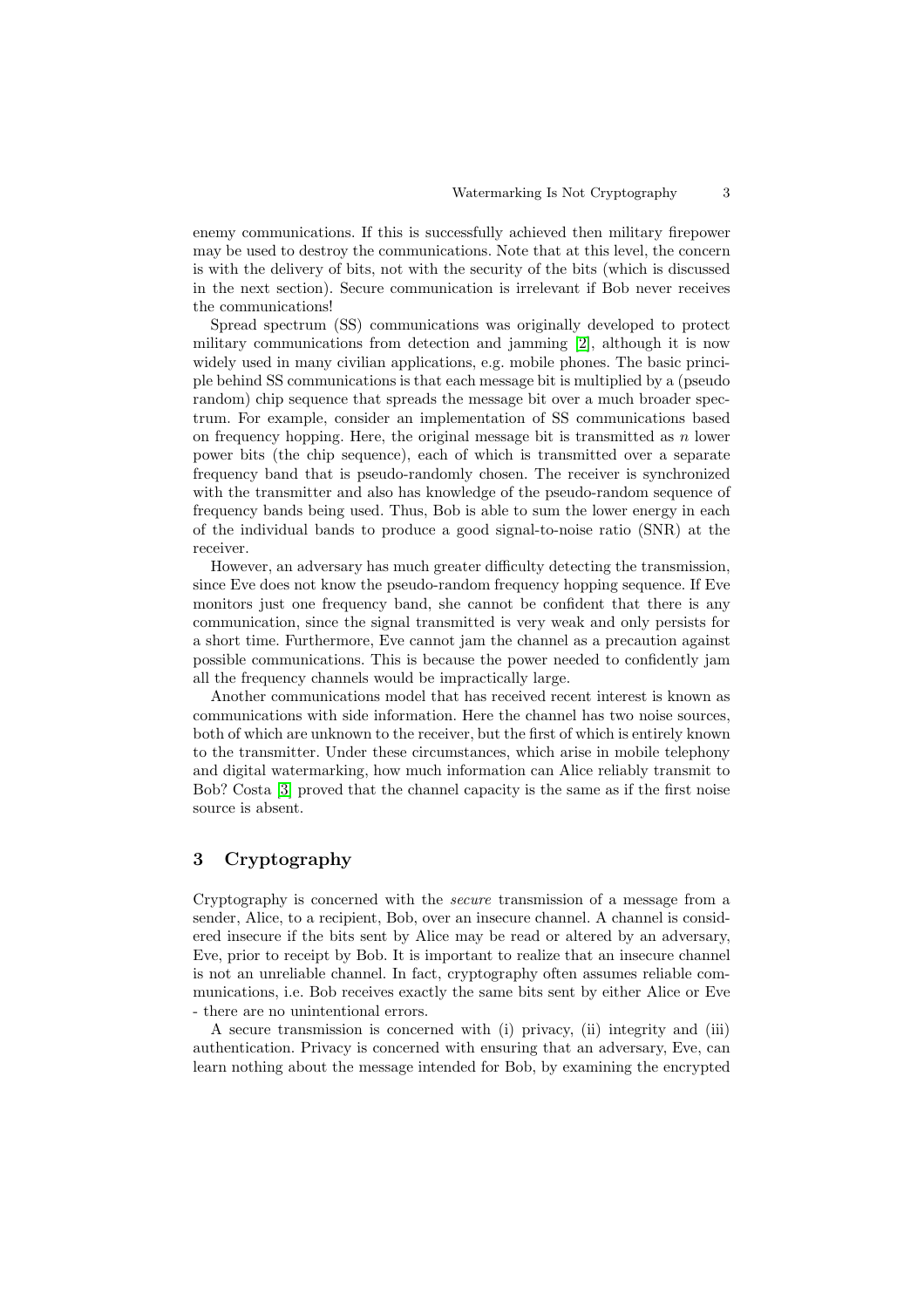enemy communications. If this is successfully achieved then military firepower may be used to destroy the communications. Note that at this level, the concern is with the delivery of bits, not with the security of the bits (which is discussed in the next section). Secure communication is irrelevant if Bob never receives the communications!

Spread spectrum (SS) communications was originally developed to protect military communications from detection and jamming [2], although it is now widely used in many civilian applications, e.g. mobile phones. The basic principle behind SS communications is that each message bit is multiplied by a (pseudo random) chip sequence that spreads the message bit over a much broader spectrum. For example, consider an implementation of SS communications based on frequency hopping. Here, the original message bit is transmitted as  $n$  lower power bits (the chip sequence), each of which is transmitted over a separate frequency band that is pseudo-randomly chosen. The receiver is synchronized with the transmitter and also has knowledge of the pseudo-random sequence of frequency bands being used. Thus, Bob is able to sum the lower energy in each of the individual bands to produce a good signal-to-noise ratio (SNR) at the receiver.

However, an adversary has much greater difficulty detecting the transmission, since Eve does not know the pseudo-random frequency hopping sequence. If Eve monitors just one frequency band, she cannot be confident that there is any communication, since the signal transmitted is very weak and only persists for a short time. Furthermore, Eve cannot jam the channel as a precaution against possible communications. This is because the power needed to confidently jam all the frequency channels would be impractically large.

Another communications model that has received recent interest is known as communications with side information. Here the channel has two noise sources, both of which are unknown to the receiver, but the first of which is entirely known to the transmitter. Under these circumstances, which arise in mobile telephony and digital watermarking, how much information can Alice reliably transmit to Bob? Costa [3] proved that the channel capacity is the same as if the first noise source is absent.

# **3 Cryptography**

Cryptography is concerned with the *secure* transmission of a message from a sender, Alice, to a recipient, Bob, over an insecure channel. A channel is considered insecure if the bits sent by Alice may be read or altered by an adversary, Eve, prior to receipt by Bob. It is important to realize that an insecure channel is not an unreliable channel. In fact, cryptography often assumes reliable communications, i.e. Bob receives exactly the same bits sent by either Alice or Eve - there are no unintentional errors.

A secure transmission is concerned with (i) privacy, (ii) integrity and (iii) authentication. Privacy is concerned with ensuring that an adversary, Eve, can learn nothing about the message intended for Bob, by examining the encrypted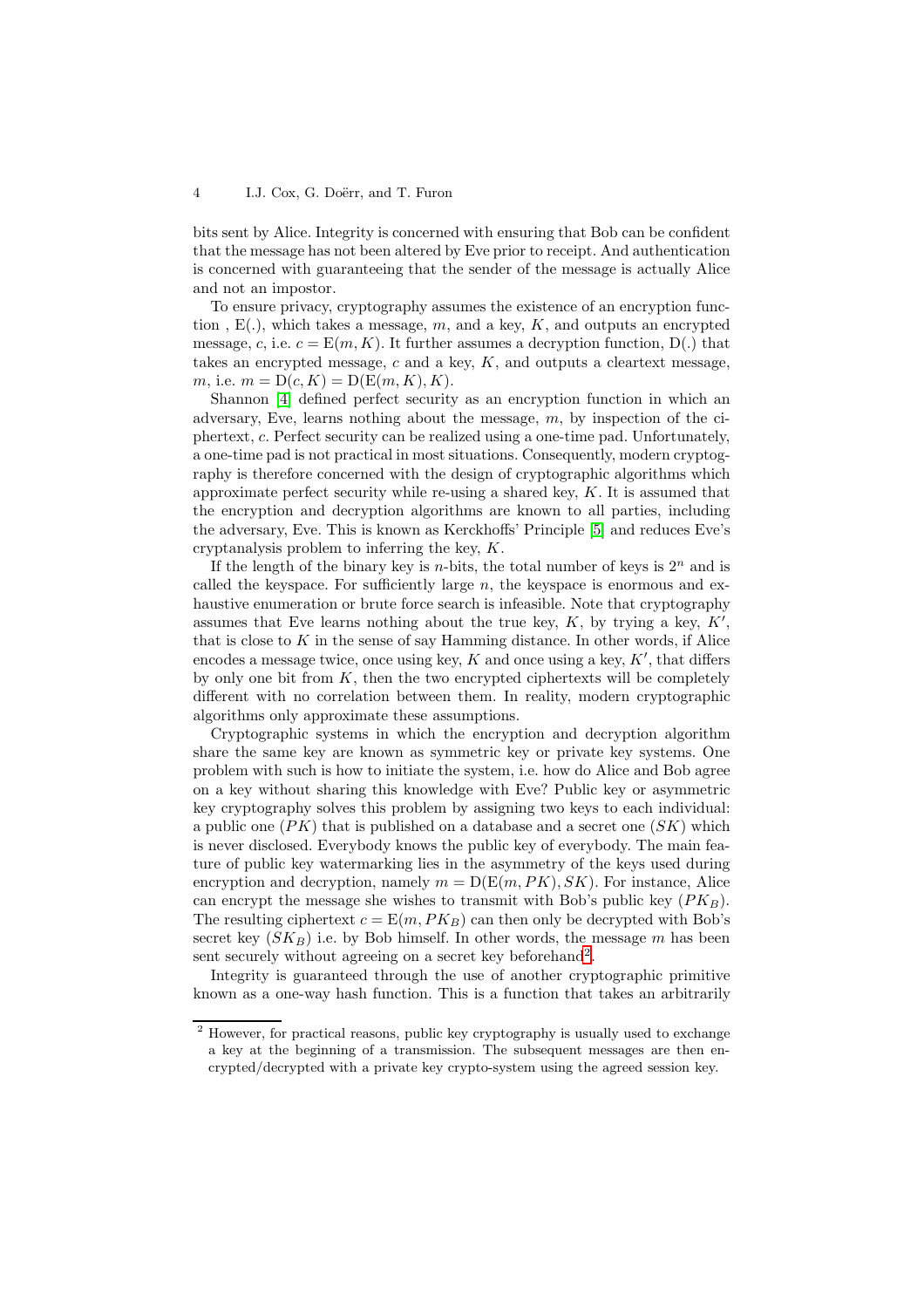bits sent by Alice. Integrity is concerned with ensuring that Bob can be confident that the message has not been altered by Eve prior to receipt. And authentication is concerned with guaranteeing that the sender of the message is actually Alice and not an impostor.

To ensure privacy, cryptography assumes the existence of an encryption function,  $E(.)$ , which takes a message, m, and a key, K, and outputs an encrypted message, c, i.e.  $c = E(m, K)$ . It further assumes a decryption function,  $D(.)$  that takes an encrypted message,  $c$  and a key,  $K$ , and outputs a cleartext message, m, i.e.  $m = D(c, K) = D(E(m, K), K)$ .

Shannon [4] defined perfect security as an encryption function in which an adversary. Eve, learns nothing about the message,  $m$ , by inspection of the ciphertext, c. Perfect security can be realized using a one-time pad. Unfortunately, a one-time pad is not practical in most situations. Consequently, modern cryptography is therefore concerned with the design of cryptographic algorithms which approximate perfect security while re-using a shared key,  $K$ . It is assumed that the encryption and decryption algorithms are known to all parties, including the adversary, Eve. This is known as Kerckhoffs' Principle [5] and reduces Eve's cryptanalysis problem to inferring the key, K.

If the length of the binary key is  $n$ -bits, the total number of keys is  $2^n$  and is called the keyspace. For sufficiently large  $n$ , the keyspace is enormous and exhaustive enumeration or brute force search is infeasible. Note that cryptography assumes that Eve learns nothing about the true key,  $K$ , by trying a key,  $K'$ , that is close to  $K$  in the sense of say Hamming distance. In other words, if Alice encodes a message twice, once using key,  $K$  and once using a key,  $K'$ , that differs by only one bit from  $K$ , then the two encrypted ciphertexts will be completely different with no correlation between them. In reality, modern cryptographic algorithms only approximate these assumptions.

Cryptographic systems in which the encryption and decryption algorithm share the same key are known as symmetric key or private key systems. One problem with such is how to initiate the system, i.e. how do Alice and Bob agree on a key without sharing this knowledge with Eve? Public key or asymmetric key cryptography solves this problem by assigning two keys to each individual: a public one  $(PK)$  that is published on a database and a secret one  $(SK)$  which is never disclosed. Everybody knows the public key of everybody. The main feature of public key watermarking lies in the asymmetry of the keys used during encryption and decryption, namely  $m = D(E(m, PK), SK)$ . For instance, Alice can encrypt the message she wishes to transmit with Bob's public key (PK*B*). The resulting ciphertext  $c = E(m, PK_B)$  can then only be decrypted with Bob's secret key  $(SK_B)$  i.e. by Bob himself. In other words, the message m has been sent securely without agreeing on a secret key beforehand<sup>2</sup>.

Integrity is guaranteed through the use of another cryptographic primitive known as a one-way hash function. This is a function that takes an arbitrarily

<sup>&</sup>lt;sup>2</sup> However, for practical reasons, public key cryptography is usually used to exchange a key at the beginning of a transmission. The subsequent messages are then encrypted/decrypted with a private key crypto-system using the agreed session key.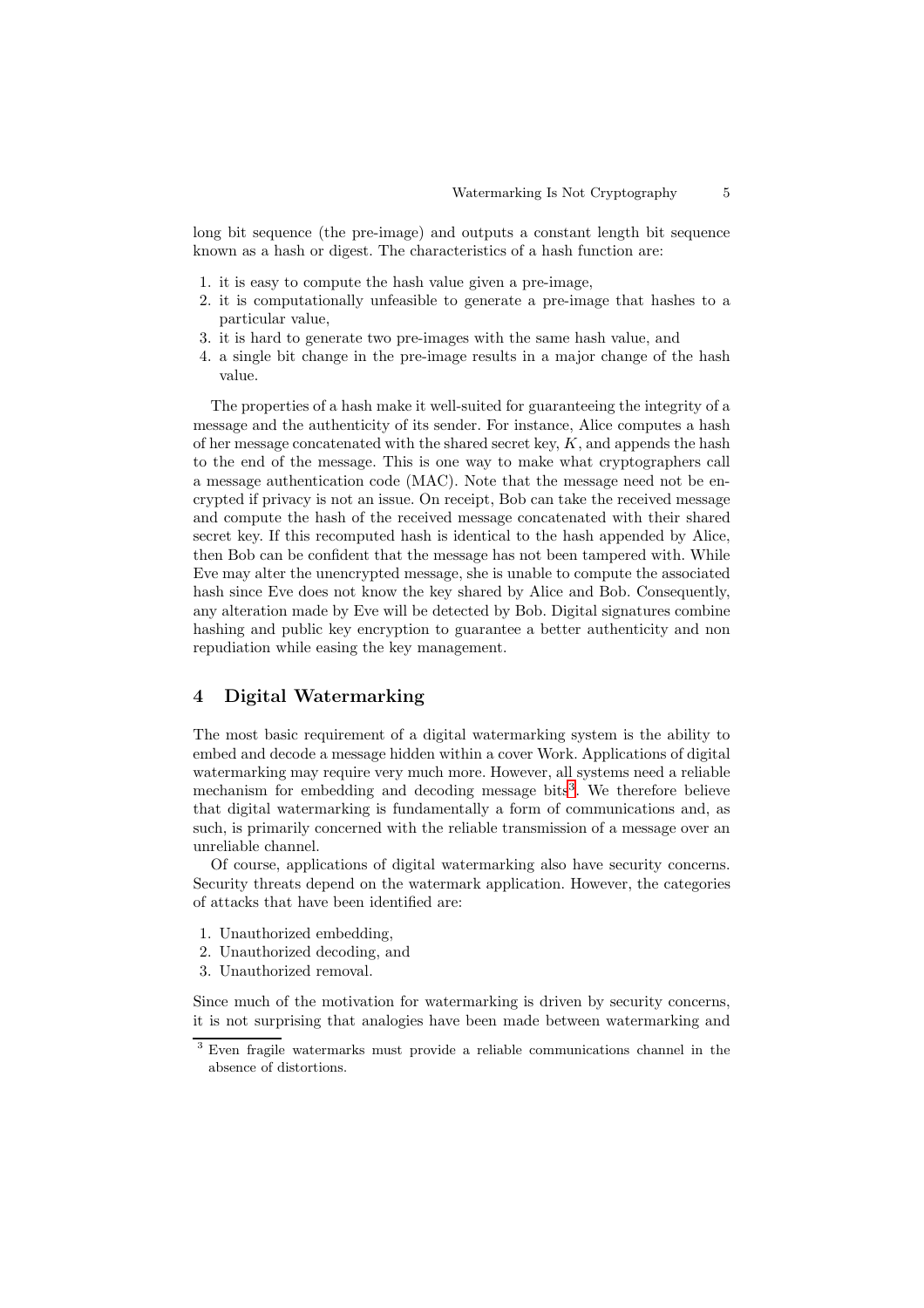long bit sequence (the pre-image) and outputs a constant length bit sequence known as a hash or digest. The characteristics of a hash function are:

- 1. it is easy to compute the hash value given a pre-image,
- 2. it is computationally unfeasible to generate a pre-image that hashes to a particular value,
- 3. it is hard to generate two pre-images with the same hash value, and
- 4. a single bit change in the pre-image results in a major change of the hash value.

The properties of a hash make it well-suited for guaranteeing the integrity of a message and the authenticity of its sender. For instance, Alice computes a hash of her message concatenated with the shared secret key,  $K$ , and appends the hash to the end of the message. This is one way to make what cryptographers call a message authentication code (MAC). Note that the message need not be encrypted if privacy is not an issue. On receipt, Bob can take the received message and compute the hash of the received message concatenated with their shared secret key. If this recomputed hash is identical to the hash appended by Alice, then Bob can be confident that the message has not been tampered with. While Eve may alter the unencrypted message, she is unable to compute the associated hash since Eve does not know the key shared by Alice and Bob. Consequently, any alteration made by Eve will be detected by Bob. Digital signatures combine hashing and public key encryption to guarantee a better authenticity and non repudiation while easing the key management.

### **4 Digital Watermarking**

The most basic requirement of a digital watermarking system is the ability to embed and decode a message hidden within a cover Work. Applications of digital watermarking may require very much more. However, all systems need a reliable mechanism for embedding and decoding message bits<sup>3</sup>. We therefore believe that digital watermarking is fundamentally a form of communications and, as such, is primarily concerned with the reliable transmission of a message over an unreliable channel.

Of course, applications of digital watermarking also have security concerns. Security threats depend on the watermark application. However, the categories of attacks that have been identified are:

- 1. Unauthorized embedding,
- 2. Unauthorized decoding, and
- 3. Unauthorized removal.

Since much of the motivation for watermarking is driven by security concerns, it is not surprising that analogies have been made between watermarking and

<sup>3</sup> Even fragile watermarks must provide a reliable communications channel in the absence of distortions.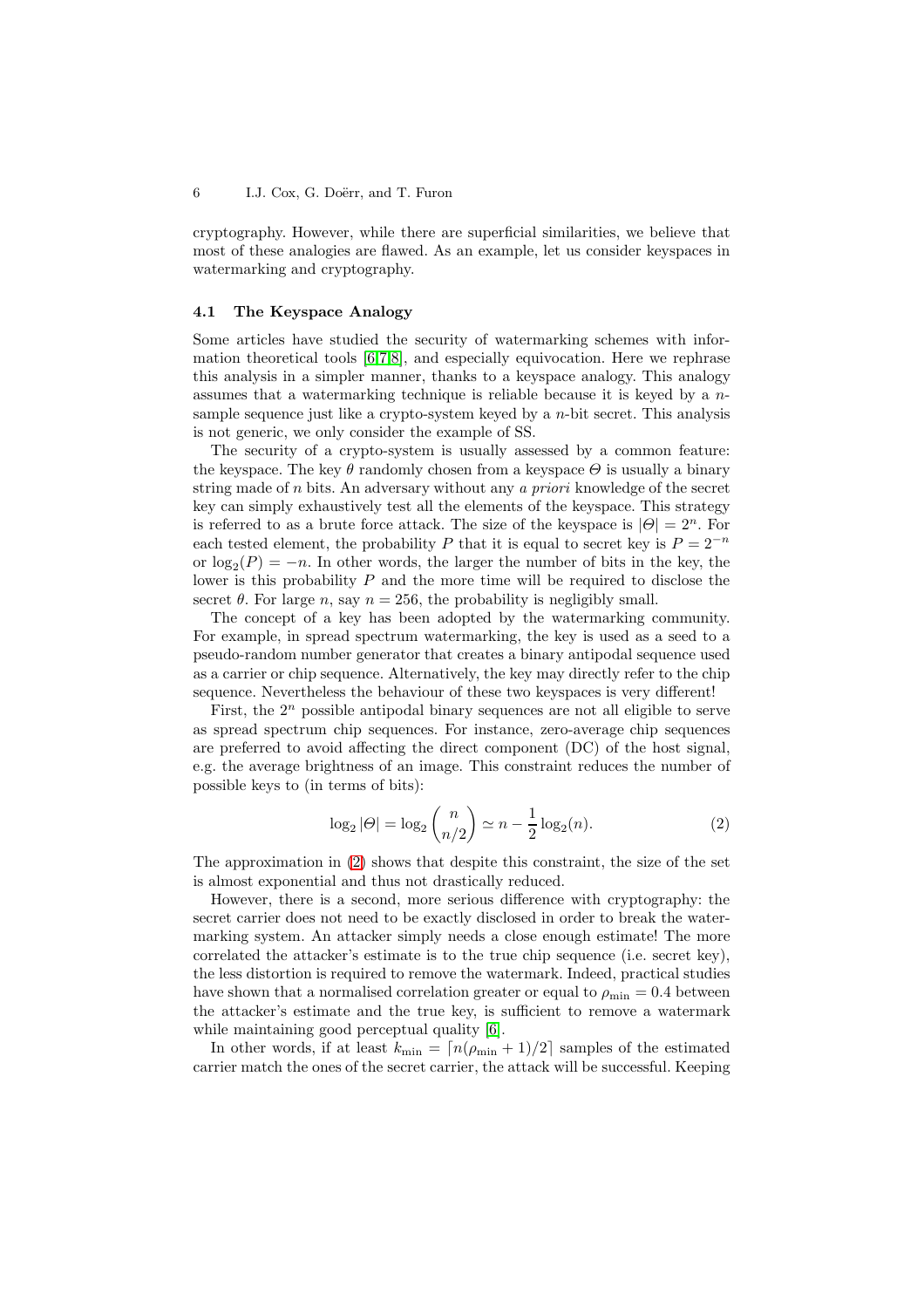cryptography. However, while there are superficial similarities, we believe that most of these analogies are flawed. As an example, let us consider keyspaces in watermarking and cryptography.

### **4.1 The Keyspace Analogy**

Some articles have studied the security of watermarking schemes with information theoretical tools [6,7,8], and especially equivocation. Here we rephrase this analysis in a simpler manner, thanks to a keyspace analogy. This analogy assumes that a watermarking technique is reliable because it is keyed by a nsample sequence just like a crypto-system keyed by a  $n$ -bit secret. This analysis is not generic, we only consider the example of SS.

The security of a crypto-system is usually assessed by a common feature: the keyspace. The key θ randomly chosen from a keyspace  $\Theta$  is usually a binary string made of n bits. An adversary without any *a priori* knowledge of the secret key can simply exhaustively test all the elements of the keyspace. This strategy is referred to as a brute force attack. The size of the keyspace is  $|\Theta| = 2^n$ . For each tested element, the probability P that it is equal to secret key is  $P = 2^{-n}$ or  $\log_2(P) = -n$ . In other words, the larger the number of bits in the key, the lower is this probability  $P$  and the more time will be required to disclose the secret  $\theta$ . For large n, say  $n = 256$ , the probability is negligibly small.

The concept of a key has been adopted by the watermarking community. For example, in spread spectrum watermarking, the key is used as a seed to a pseudo-random number generator that creates a binary antipodal sequence used as a carrier or chip sequence. Alternatively, the key may directly refer to the chip sequence. Nevertheless the behaviour of these two keyspaces is very different!

First, the  $2^n$  possible antipodal binary sequences are not all eligible to serve as spread spectrum chip sequences. For instance, zero-average chip sequences are preferred to avoid affecting the direct component (DC) of the host signal, e.g. the average brightness of an image. This constraint reduces the number of possible keys to (in terms of bits):

$$
\log_2 |\Theta| = \log_2 \binom{n}{n/2} \simeq n - \frac{1}{2} \log_2(n). \tag{2}
$$

The approximation in (2) shows that despite this constraint, the size of the set is almost exponential and thus not drastically reduced.

However, there is a second, more serious difference with cryptography: the secret carrier does not need to be exactly disclosed in order to break the watermarking system. An attacker simply needs a close enough estimate! The more correlated the attacker's estimate is to the true chip sequence (i.e. secret key), the less distortion is required to remove the watermark. Indeed, practical studies have shown that a normalised correlation greater or equal to  $\rho_{\min} = 0.4$  between the attacker's estimate and the true key, is sufficient to remove a watermark while maintaining good perceptual quality [6].

In other words, if at least  $k_{\text{min}} = \lceil n(\rho_{\text{min}} + 1)/2 \rceil$  samples of the estimated carrier match the ones of the secret carrier, the attack will be successful. Keeping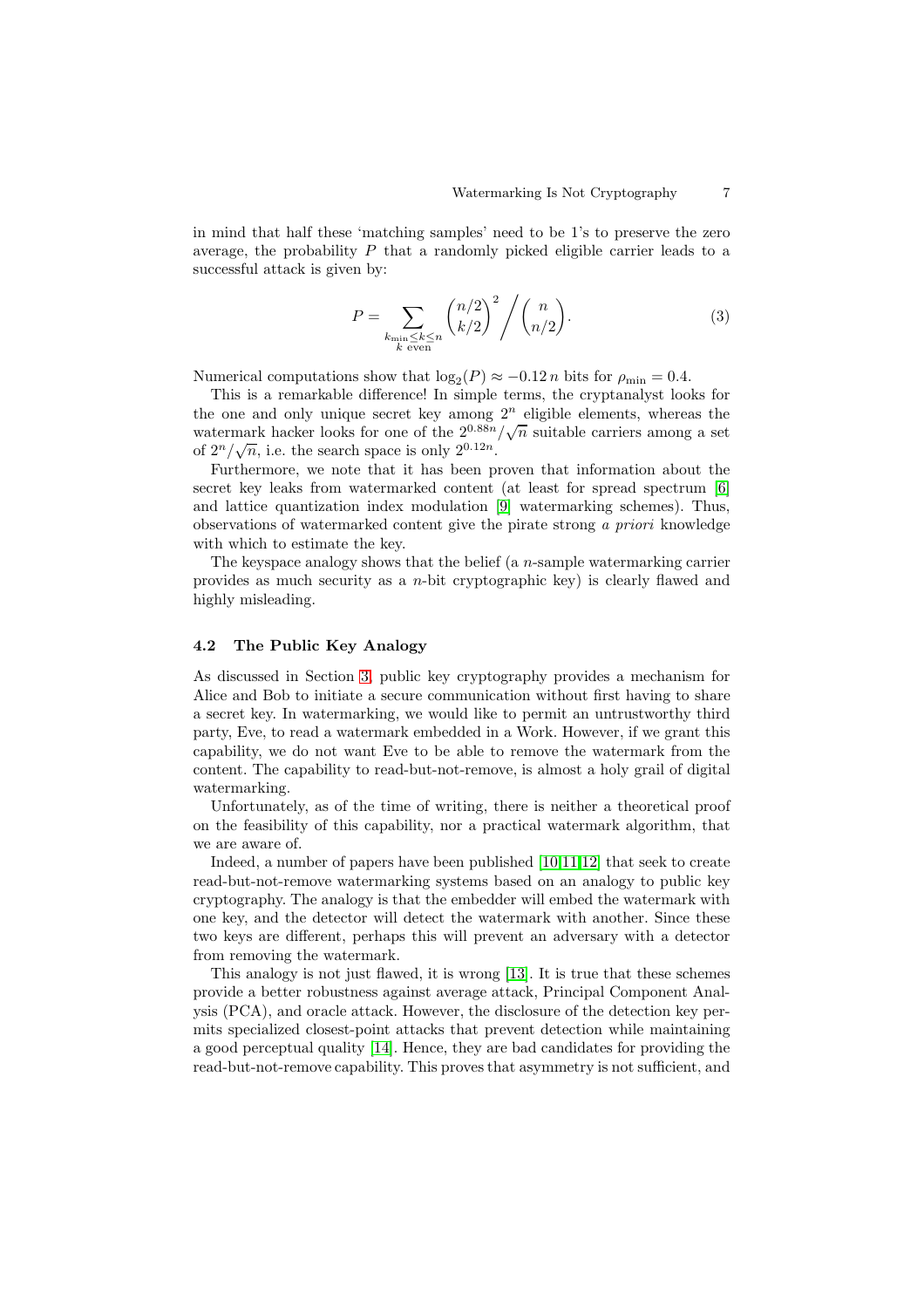in mind that half these 'matching samples' need to be 1's to preserve the zero average, the probability  $P$  that a randomly picked eligible carrier leads to a successful attack is given by:

$$
P = \sum_{\substack{k_{\min} \le k \le n \\ k \text{ even}}} \binom{n/2}{k/2}^2 / \binom{n}{n/2}.
$$
 (3)

Numerical computations show that  $\log_2(P) \approx -0.12 n$  bits for  $\rho_{\min} = 0.4$ .

This is a remarkable difference! In simple terms, the cryptanalyst looks for the one and only unique secret key among  $2<sup>n</sup>$  eligible elements, whereas the watermark hacker looks for one of the  $2^{0.88n}/\sqrt{n}$  suitable carriers among a set of  $2^n/\sqrt{n}$ , i.e. the search space is only  $2^{0.12n}$ .

Furthermore, we note that it has been proven that information about the secret key leaks from watermarked content (at least for spread spectrum [6] and lattice quantization index modulation [9] watermarking schemes). Thus, observations of watermarked content give the pirate strong *a priori* knowledge with which to estimate the key.

The keyspace analogy shows that the belief (a n-sample watermarking carrier provides as much security as a n-bit cryptographic key) is clearly flawed and highly misleading.

#### **4.2 The Public Key Analogy**

As discussed in Section 3, public key cryptography provides a mechanism for Alice and Bob to initiate a secure communication without first having to share a secret key. In watermarking, we would like to permit an untrustworthy third party, Eve, to read a watermark embedded in a Work. However, if we grant this capability, we do not want Eve to be able to remove the watermark from the content. The capability to read-but-not-remove, is almost a holy grail of digital watermarking.

Unfortunately, as of the time of writing, there is neither a theoretical proof on the feasibility of this capability, nor a practical watermark algorithm, that we are aware of.

Indeed, a number of papers have been published [10,11,12] that seek to create read-but-not-remove watermarking systems based on an analogy to public key cryptography. The analogy is that the embedder will embed the watermark with one key, and the detector will detect the watermark with another. Since these two keys are different, perhaps this will prevent an adversary with a detector from removing the watermark.

This analogy is not just flawed, it is wrong [13]. It is true that these schemes provide a better robustness against average attack, Principal Component Analysis (PCA), and oracle attack. However, the disclosure of the detection key permits specialized closest-point attacks that prevent detection while maintaining a good perceptual quality [14]. Hence, they are bad candidates for providing the read-but-not-remove capability. This proves that asymmetry is not sufficient, and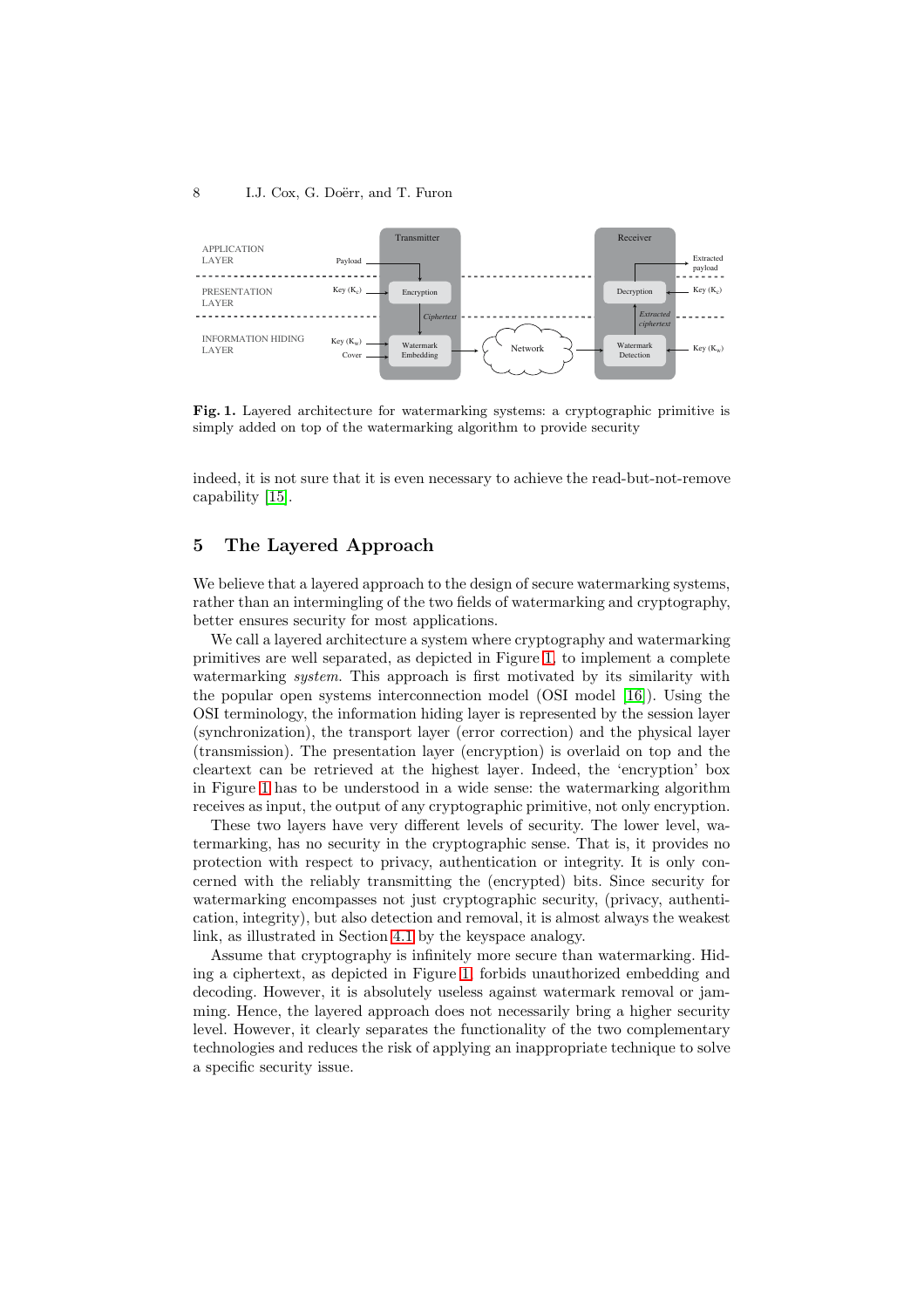

**Fig. 1.** Layered architecture for watermarking systems: a cryptographic primitive is simply added on top of the watermarking algorithm to provide security

indeed, it is not sure that it is even necessary to achieve the read-but-not-remove capability [15].

## **5 The Layered Approach**

We believe that a layered approach to the design of secure watermarking systems, rather than an intermingling of the two fields of watermarking and cryptography, better ensures security for most applications.

We call a layered architecture a system where cryptography and watermarking primitives are well separated, as depicted in Figure 1, to implement a complete watermarking *system*. This approach is first motivated by its similarity with the popular open systems interconnection model (OSI model [16]). Using the OSI terminology, the information hiding layer is represented by the session layer (synchronization), the transport layer (error correction) and the physical layer (transmission). The presentation layer (encryption) is overlaid on top and the cleartext can be retrieved at the highest layer. Indeed, the 'encryption' box in Figure 1 has to be understood in a wide sense: the watermarking algorithm receives as input, the output of any cryptographic primitive, not only encryption.

These two layers have very different levels of security. The lower level, watermarking, has no security in the cryptographic sense. That is, it provides no protection with respect to privacy, authentication or integrity. It is only concerned with the reliably transmitting the (encrypted) bits. Since security for watermarking encompasses not just cryptographic security, (privacy, authentication, integrity), but also detection and removal, it is almost always the weakest link, as illustrated in Section 4.1 by the keyspace analogy.

Assume that cryptography is infinitely more secure than watermarking. Hiding a ciphertext, as depicted in Figure 1, forbids unauthorized embedding and decoding. However, it is absolutely useless against watermark removal or jamming. Hence, the layered approach does not necessarily bring a higher security level. However, it clearly separates the functionality of the two complementary technologies and reduces the risk of applying an inappropriate technique to solve a specific security issue.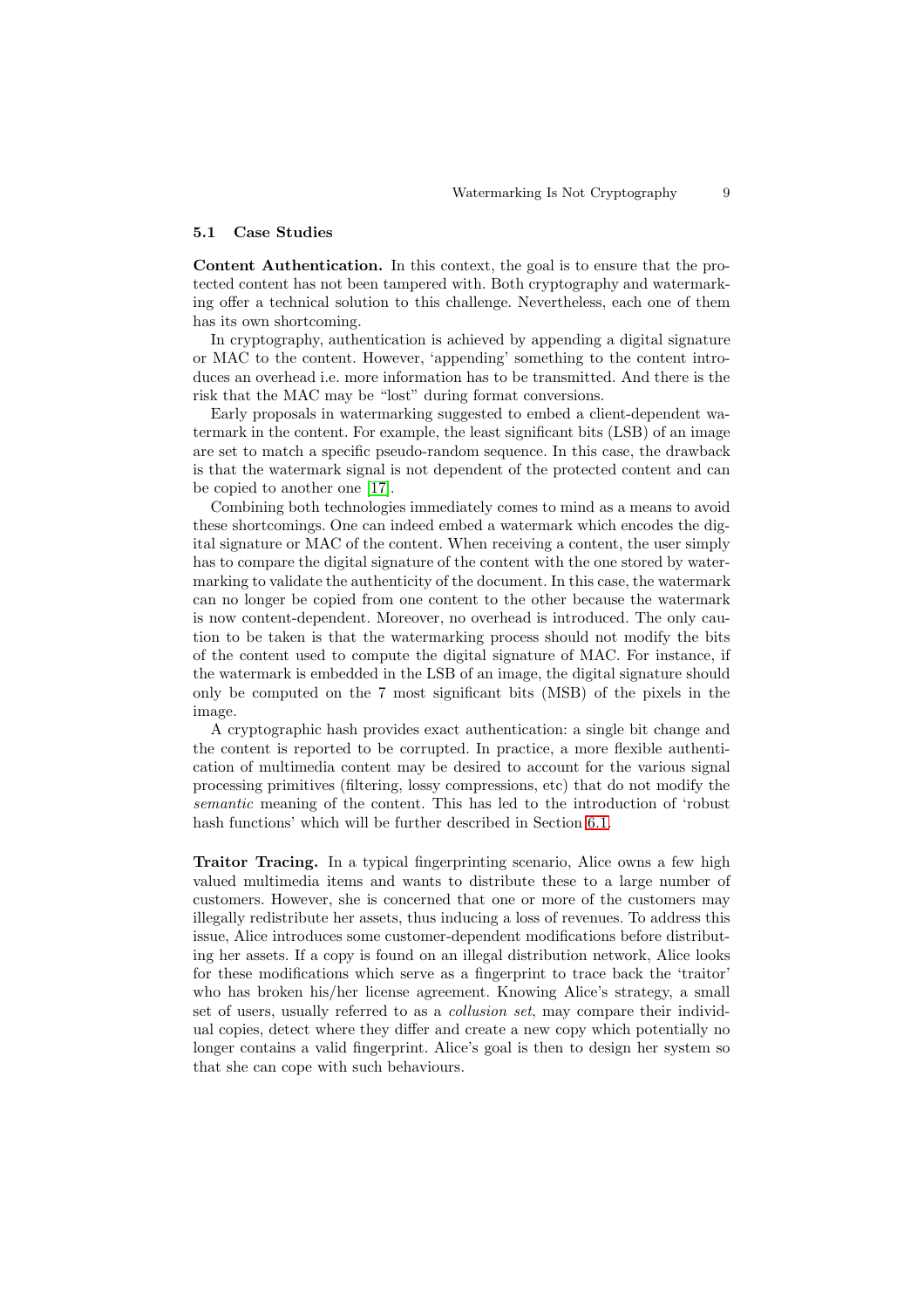### **5.1 Case Studies**

**Content Authentication.** In this context, the goal is to ensure that the protected content has not been tampered with. Both cryptography and watermarking offer a technical solution to this challenge. Nevertheless, each one of them has its own shortcoming.

In cryptography, authentication is achieved by appending a digital signature or MAC to the content. However, 'appending' something to the content introduces an overhead i.e. more information has to be transmitted. And there is the risk that the MAC may be "lost" during format conversions.

Early proposals in watermarking suggested to embed a client-dependent watermark in the content. For example, the least significant bits (LSB) of an image are set to match a specific pseudo-random sequence. In this case, the drawback is that the watermark signal is not dependent of the protected content and can be copied to another one [17].

Combining both technologies immediately comes to mind as a means to avoid these shortcomings. One can indeed embed a watermark which encodes the digital signature or MAC of the content. When receiving a content, the user simply has to compare the digital signature of the content with the one stored by watermarking to validate the authenticity of the document. In this case, the watermark can no longer be copied from one content to the other because the watermark is now content-dependent. Moreover, no overhead is introduced. The only caution to be taken is that the watermarking process should not modify the bits of the content used to compute the digital signature of MAC. For instance, if the watermark is embedded in the LSB of an image, the digital signature should only be computed on the 7 most significant bits (MSB) of the pixels in the image.

A cryptographic hash provides exact authentication: a single bit change and the content is reported to be corrupted. In practice, a more flexible authentication of multimedia content may be desired to account for the various signal processing primitives (filtering, lossy compressions, etc) that do not modify the *semantic* meaning of the content. This has led to the introduction of 'robust hash functions' which will be further described in Section 6.1.

**Traitor Tracing.** In a typical fingerprinting scenario, Alice owns a few high valued multimedia items and wants to distribute these to a large number of customers. However, she is concerned that one or more of the customers may illegally redistribute her assets, thus inducing a loss of revenues. To address this issue, Alice introduces some customer-dependent modifications before distributing her assets. If a copy is found on an illegal distribution network, Alice looks for these modifications which serve as a fingerprint to trace back the 'traitor' who has broken his/her license agreement. Knowing Alice's strategy, a small set of users, usually referred to as a *collusion set*, may compare their individual copies, detect where they differ and create a new copy which potentially no longer contains a valid fingerprint. Alice's goal is then to design her system so that she can cope with such behaviours.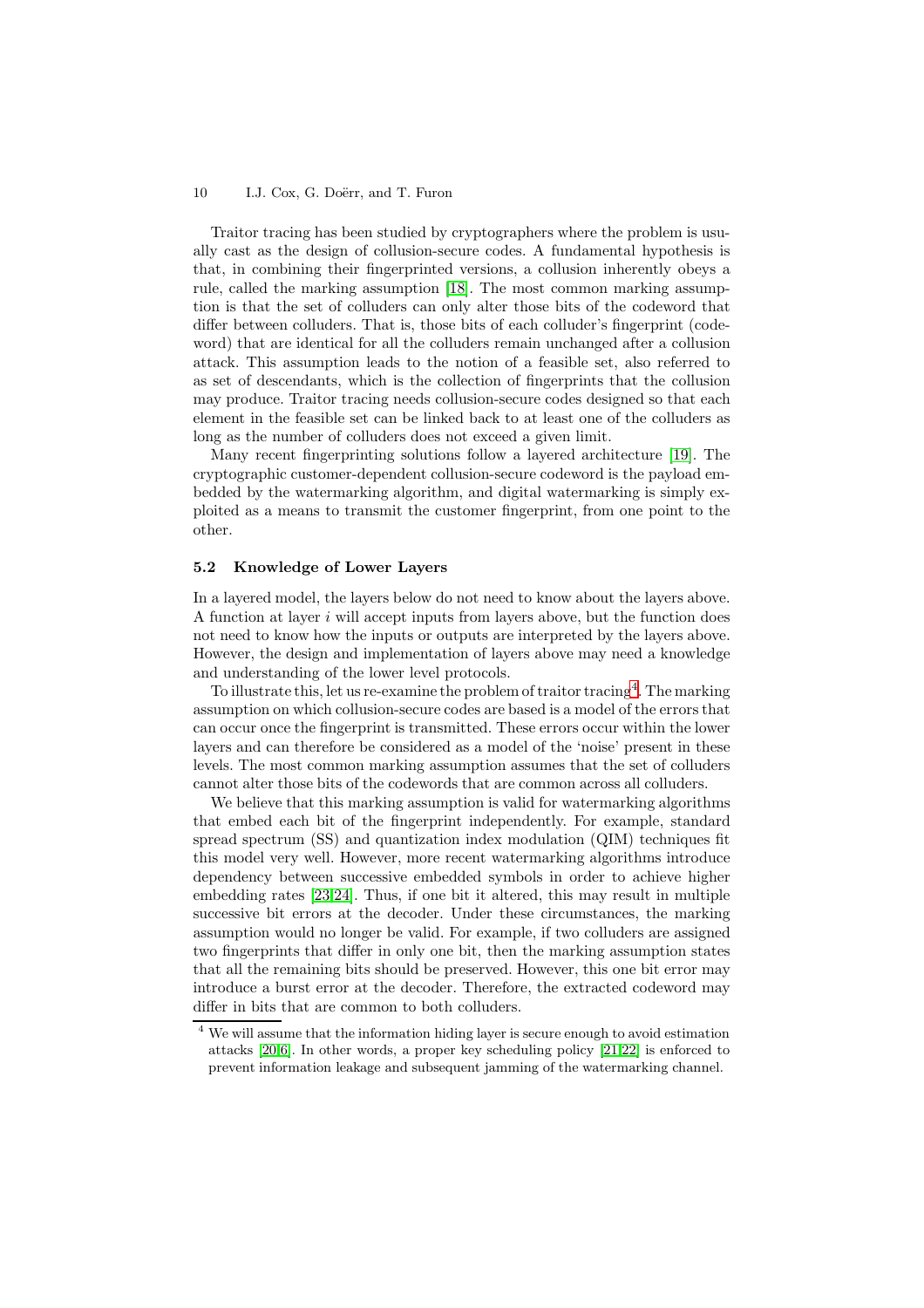Traitor tracing has been studied by cryptographers where the problem is usually cast as the design of collusion-secure codes. A fundamental hypothesis is that, in combining their fingerprinted versions, a collusion inherently obeys a rule, called the marking assumption [18]. The most common marking assumption is that the set of colluders can only alter those bits of the codeword that differ between colluders. That is, those bits of each colluder's fingerprint (codeword) that are identical for all the colluders remain unchanged after a collusion attack. This assumption leads to the notion of a feasible set, also referred to as set of descendants, which is the collection of fingerprints that the collusion may produce. Traitor tracing needs collusion-secure codes designed so that each element in the feasible set can be linked back to at least one of the colluders as long as the number of colluders does not exceed a given limit.

Many recent fingerprinting solutions follow a layered architecture [19]. The cryptographic customer-dependent collusion-secure codeword is the payload embedded by the watermarking algorithm, and digital watermarking is simply exploited as a means to transmit the customer fingerprint, from one point to the other.

#### **5.2 Knowledge of Lower Layers**

In a layered model, the layers below do not need to know about the layers above. A function at layer i will accept inputs from layers above, but the function does not need to know how the inputs or outputs are interpreted by the layers above. However, the design and implementation of layers above may need a knowledge and understanding of the lower level protocols.

To illustrate this, let us re-examine the problem of traitor tracing<sup>4</sup>. The marking assumption on which collusion-secure codes are based is a model of the errors that can occur once the fingerprint is transmitted. These errors occur within the lower layers and can therefore be considered as a model of the 'noise' present in these levels. The most common marking assumption assumes that the set of colluders cannot alter those bits of the codewords that are common across all colluders.

We believe that this marking assumption is valid for watermarking algorithms that embed each bit of the fingerprint independently. For example, standard spread spectrum (SS) and quantization index modulation (QIM) techniques fit this model very well. However, more recent watermarking algorithms introduce dependency between successive embedded symbols in order to achieve higher embedding rates [23,24]. Thus, if one bit it altered, this may result in multiple successive bit errors at the decoder. Under these circumstances, the marking assumption would no longer be valid. For example, if two colluders are assigned two fingerprints that differ in only one bit, then the marking assumption states that all the remaining bits should be preserved. However, this one bit error may introduce a burst error at the decoder. Therefore, the extracted codeword may differ in bits that are common to both colluders.

<sup>4</sup> We will assume that the information hiding layer is secure enough to avoid estimation attacks [20,6]. In other words, a proper key scheduling policy [21,22] is enforced to prevent information leakage and subsequent jamming of the watermarking channel.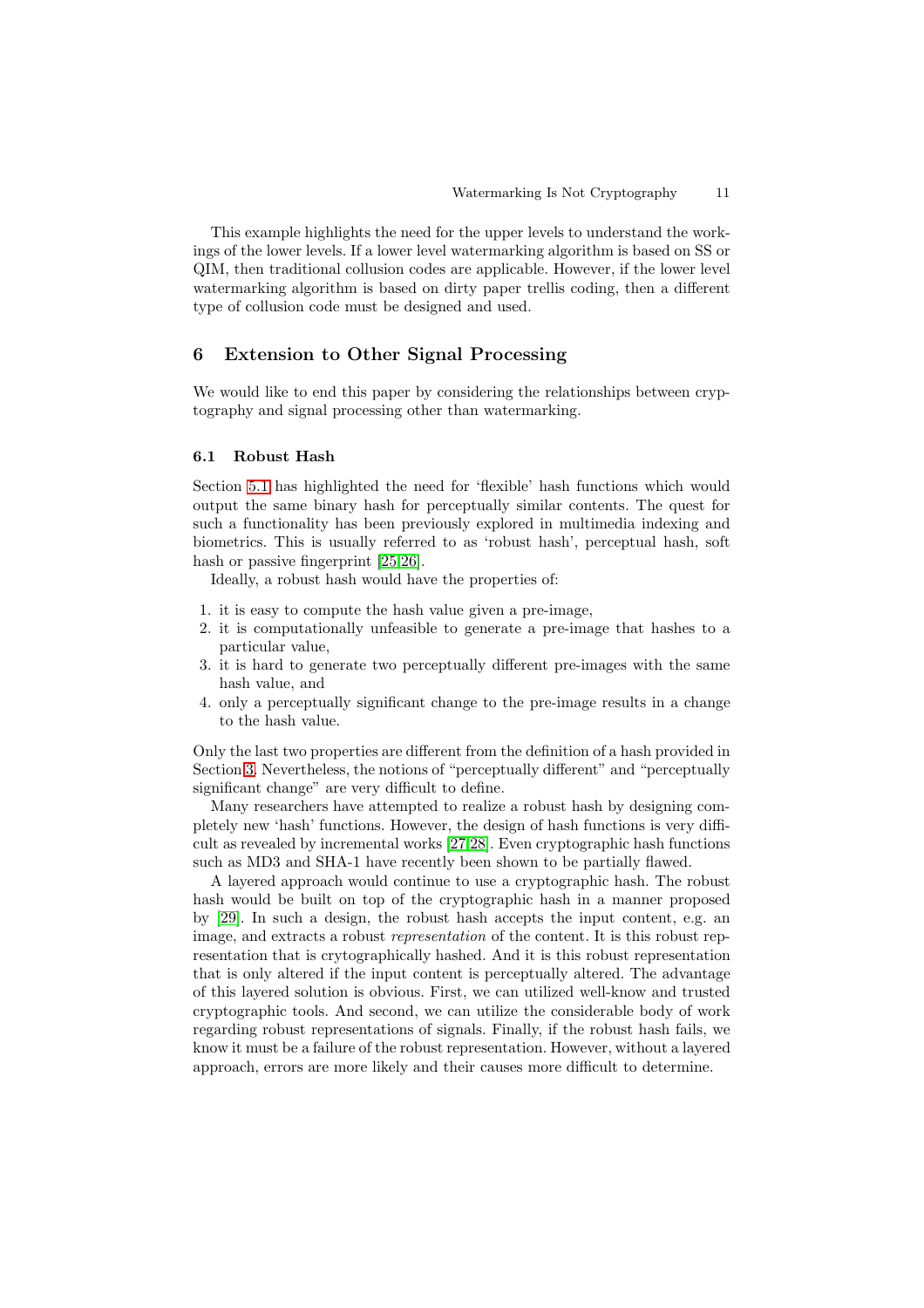This example highlights the need for the upper levels to understand the workings of the lower levels. If a lower level watermarking algorithm is based on SS or QIM, then traditional collusion codes are applicable. However, if the lower level watermarking algorithm is based on dirty paper trellis coding, then a different type of collusion code must be designed and used.

### **6 Extension to Other Signal Processing**

We would like to end this paper by considering the relationships between cryptography and signal processing other than watermarking.

#### **6.1 Robust Hash**

Section 5.1 has highlighted the need for 'flexible' hash functions which would output the same binary hash for perceptually similar contents. The quest for such a functionality has been previously explored in multimedia indexing and biometrics. This is usually referred to as 'robust hash', perceptual hash, soft hash or passive fingerprint [25,26].

Ideally, a robust hash would have the properties of:

- 1. it is easy to compute the hash value given a pre-image,
- 2. it is computationally unfeasible to generate a pre-image that hashes to a particular value,
- 3. it is hard to generate two perceptually different pre-images with the same hash value, and
- 4. only a perceptually significant change to the pre-image results in a change to the hash value.

Only the last two properties are different from the definition of a hash provided in Section 3. Nevertheless, the notions of "perceptually different" and "perceptually significant change" are very difficult to define.

Many researchers have attempted to realize a robust hash by designing completely new 'hash' functions. However, the design of hash functions is very difficult as revealed by incremental works [27,28]. Even cryptographic hash functions such as MD3 and SHA-1 have recently been shown to be partially flawed.

A layered approach would continue to use a cryptographic hash. The robust hash would be built on top of the cryptographic hash in a manner proposed by [29]. In such a design, the robust hash accepts the input content, e.g. an image, and extracts a robust *representation* of the content. It is this robust representation that is crytographically hashed. And it is this robust representation that is only altered if the input content is perceptually altered. The advantage of this layered solution is obvious. First, we can utilized well-know and trusted cryptographic tools. And second, we can utilize the considerable body of work regarding robust representations of signals. Finally, if the robust hash fails, we know it must be a failure of the robust representation. However, without a layered approach, errors are more likely and their causes more difficult to determine.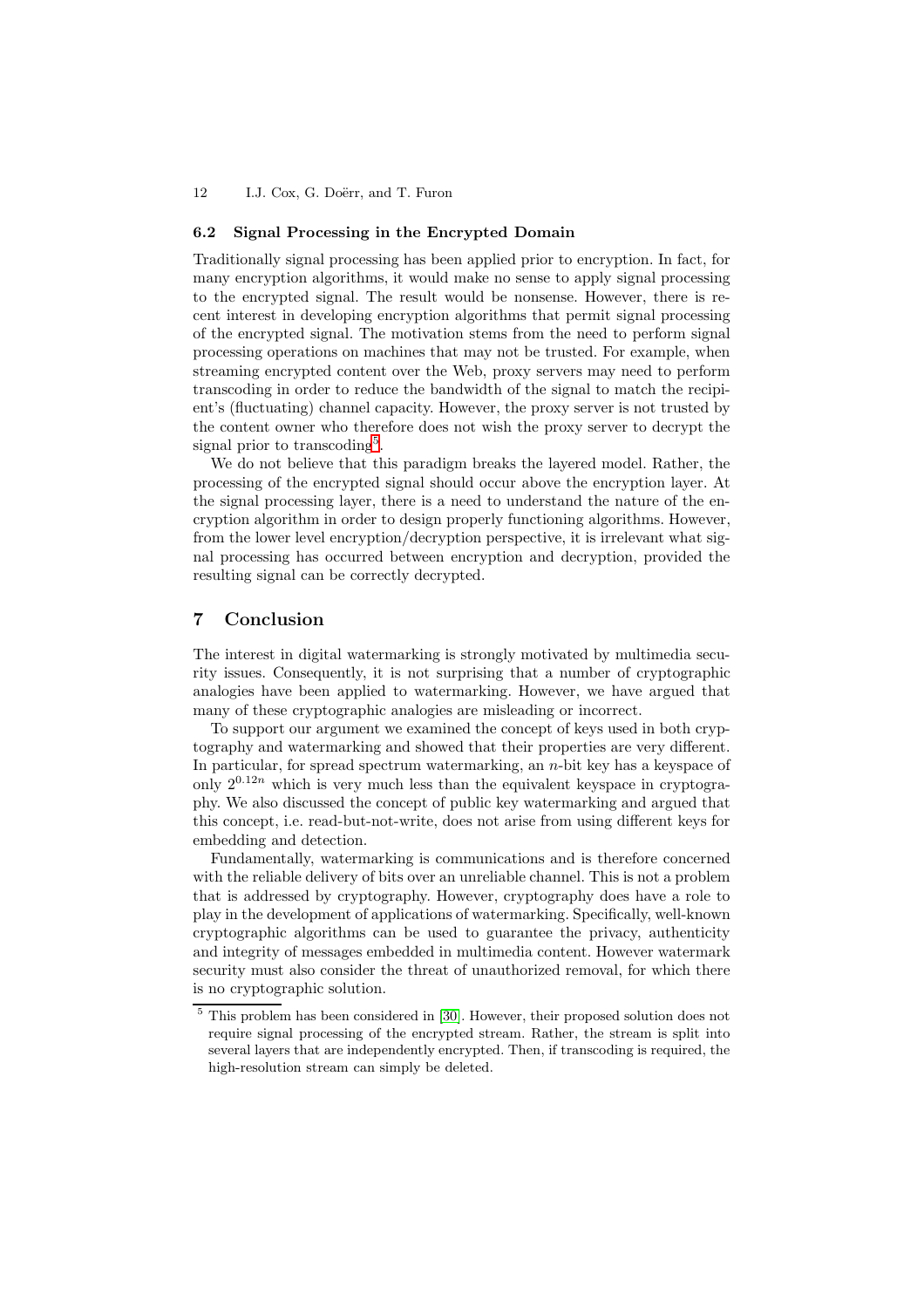#### **6.2 Signal Processing in the Encrypted Domain**

Traditionally signal processing has been applied prior to encryption. In fact, for many encryption algorithms, it would make no sense to apply signal processing to the encrypted signal. The result would be nonsense. However, there is recent interest in developing encryption algorithms that permit signal processing of the encrypted signal. The motivation stems from the need to perform signal processing operations on machines that may not be trusted. For example, when streaming encrypted content over the Web, proxy servers may need to perform transcoding in order to reduce the bandwidth of the signal to match the recipient's (fluctuating) channel capacity. However, the proxy server is not trusted by the content owner who therefore does not wish the proxy server to decrypt the signal prior to transcoding<sup>5</sup>.

We do not believe that this paradigm breaks the layered model. Rather, the processing of the encrypted signal should occur above the encryption layer. At the signal processing layer, there is a need to understand the nature of the encryption algorithm in order to design properly functioning algorithms. However, from the lower level encryption/decryption perspective, it is irrelevant what signal processing has occurred between encryption and decryption, provided the resulting signal can be correctly decrypted.

# **7 Conclusion**

The interest in digital watermarking is strongly motivated by multimedia security issues. Consequently, it is not surprising that a number of cryptographic analogies have been applied to watermarking. However, we have argued that many of these cryptographic analogies are misleading or incorrect.

To support our argument we examined the concept of keys used in both cryptography and watermarking and showed that their properties are very different. In particular, for spread spectrum watermarking, an n-bit key has a keyspace of only  $2^{0.12n}$  which is very much less than the equivalent keyspace in cryptography. We also discussed the concept of public key watermarking and argued that this concept, i.e. read-but-not-write, does not arise from using different keys for embedding and detection.

Fundamentally, watermarking is communications and is therefore concerned with the reliable delivery of bits over an unreliable channel. This is not a problem that is addressed by cryptography. However, cryptography does have a role to play in the development of applications of watermarking. Specifically, well-known cryptographic algorithms can be used to guarantee the privacy, authenticity and integrity of messages embedded in multimedia content. However watermark security must also consider the threat of unauthorized removal, for which there is no cryptographic solution.

<sup>5</sup> This problem has been considered in [30]. However, their proposed solution does not require signal processing of the encrypted stream. Rather, the stream is split into several layers that are independently encrypted. Then, if transcoding is required, the high-resolution stream can simply be deleted.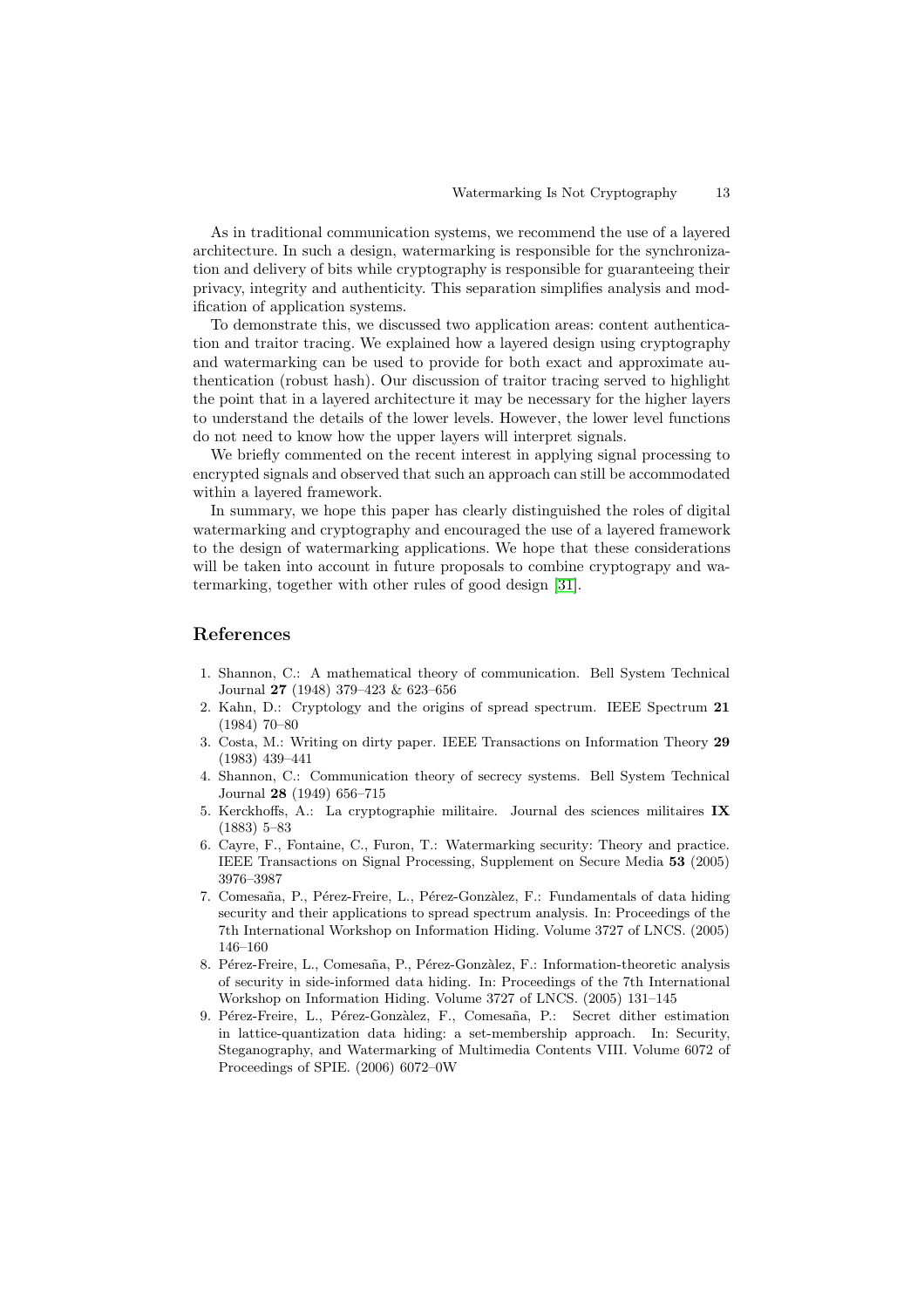As in traditional communication systems, we recommend the use of a layered architecture. In such a design, watermarking is responsible for the synchronization and delivery of bits while cryptography is responsible for guaranteeing their privacy, integrity and authenticity. This separation simplifies analysis and modification of application systems.

To demonstrate this, we discussed two application areas: content authentication and traitor tracing. We explained how a layered design using cryptography and watermarking can be used to provide for both exact and approximate authentication (robust hash). Our discussion of traitor tracing served to highlight the point that in a layered architecture it may be necessary for the higher layers to understand the details of the lower levels. However, the lower level functions do not need to know how the upper layers will interpret signals.

We briefly commented on the recent interest in applying signal processing to encrypted signals and observed that such an approach can still be accommodated within a layered framework.

In summary, we hope this paper has clearly distinguished the roles of digital watermarking and cryptography and encouraged the use of a layered framework to the design of watermarking applications. We hope that these considerations will be taken into account in future proposals to combine cryptograpy and watermarking, together with other rules of good design [31].

## **References**

- 1. Shannon, C.: A mathematical theory of communication. Bell System Technical Journal **27** (1948) 379–423 & 623–656
- 2. Kahn, D.: Cryptology and the origins of spread spectrum. IEEE Spectrum **21** (1984) 70–80
- 3. Costa, M.: Writing on dirty paper. IEEE Transactions on Information Theory **29** (1983) 439–441
- 4. Shannon, C.: Communication theory of secrecy systems. Bell System Technical Journal **28** (1949) 656–715
- 5. Kerckhoffs, A.: La cryptographie militaire. Journal des sciences militaires **IX** (1883) 5–83
- 6. Cayre, F., Fontaine, C., Furon, T.: Watermarking security: Theory and practice. IEEE Transactions on Signal Processing, Supplement on Secure Media **53** (2005) 3976–3987
- 7. Comesaña, P., Pérez-Freire, L., Pérez-Gonzàlez, F.: Fundamentals of data hiding security and their applications to spread spectrum analysis. In: Proceedings of the 7th International Workshop on Information Hiding. Volume 3727 of LNCS. (2005) 146–160
- 8. Pérez-Freire, L., Comesaña, P., Pérez-Gonzàlez, F.: Information-theoretic analysis of security in side-informed data hiding. In: Proceedings of the 7th International Workshop on Information Hiding. Volume 3727 of LNCS. (2005) 131–145
- 9. Pérez-Freire, L., Pérez-Gonzàlez, F., Comesaña, P.: Secret dither estimation in lattice-quantization data hiding: a set-membership approach. In: Security, Steganography, and Watermarking of Multimedia Contents VIII. Volume 6072 of Proceedings of SPIE. (2006) 6072–0W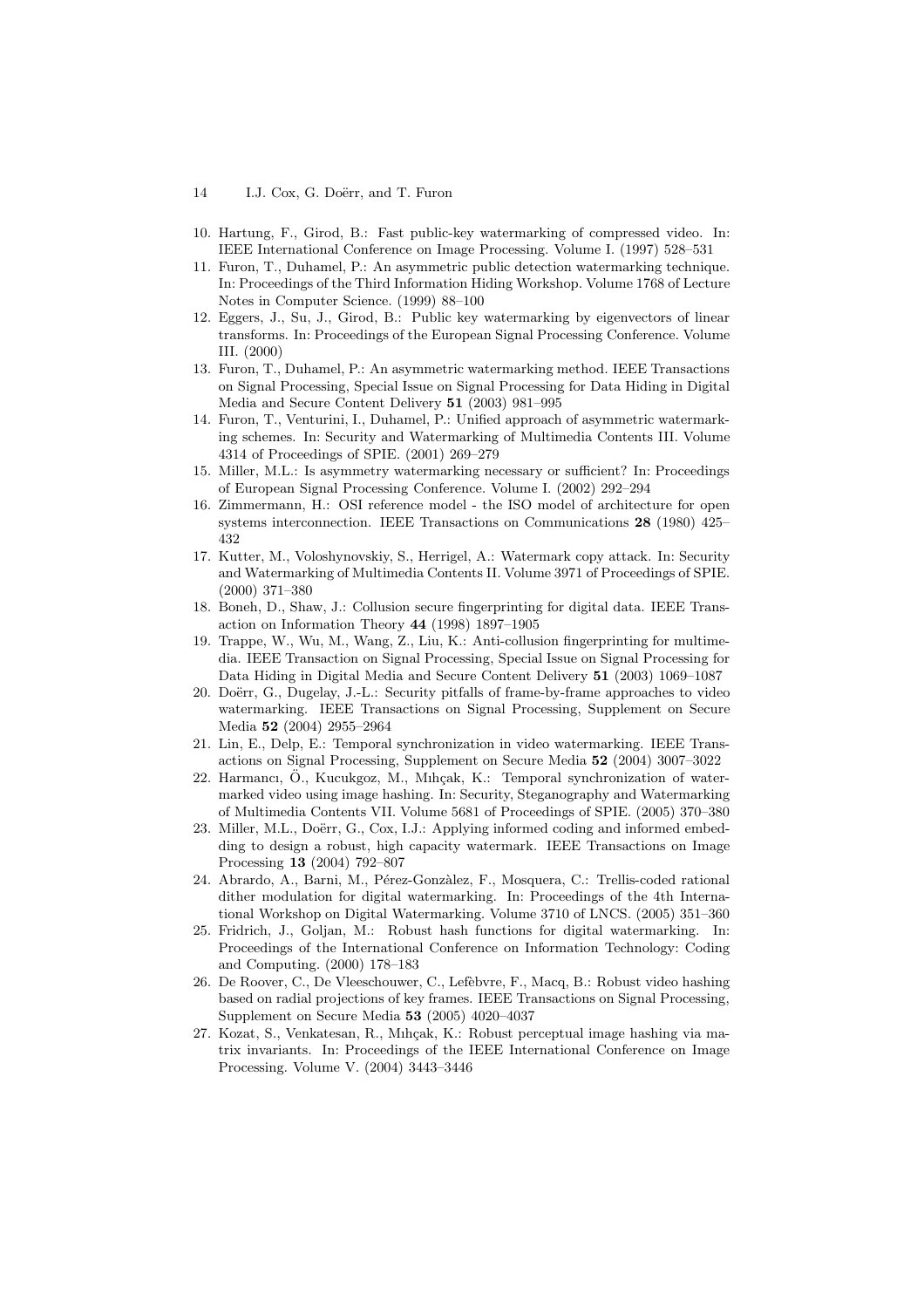- 10. Hartung, F., Girod, B.: Fast public-key watermarking of compressed video. In: IEEE International Conference on Image Processing. Volume I. (1997) 528–531
- 11. Furon, T., Duhamel, P.: An asymmetric public detection watermarking technique. In: Proceedings of the Third Information Hiding Workshop. Volume 1768 of Lecture Notes in Computer Science. (1999) 88–100
- 12. Eggers, J., Su, J., Girod, B.: Public key watermarking by eigenvectors of linear transforms. In: Proceedings of the European Signal Processing Conference. Volume III. (2000)
- 13. Furon, T., Duhamel, P.: An asymmetric watermarking method. IEEE Transactions on Signal Processing, Special Issue on Signal Processing for Data Hiding in Digital Media and Secure Content Delivery **51** (2003) 981–995
- 14. Furon, T., Venturini, I., Duhamel, P.: Unified approach of asymmetric watermarking schemes. In: Security and Watermarking of Multimedia Contents III. Volume 4314 of Proceedings of SPIE. (2001) 269–279
- 15. Miller, M.L.: Is asymmetry watermarking necessary or sufficient? In: Proceedings of European Signal Processing Conference. Volume I. (2002) 292–294
- 16. Zimmermann, H.: OSI reference model the ISO model of architecture for open systems interconnection. IEEE Transactions on Communications **28** (1980) 425– 432
- 17. Kutter, M., Voloshynovskiy, S., Herrigel, A.: Watermark copy attack. In: Security and Watermarking of Multimedia Contents II. Volume 3971 of Proceedings of SPIE. (2000) 371–380
- 18. Boneh, D., Shaw, J.: Collusion secure fingerprinting for digital data. IEEE Transaction on Information Theory **44** (1998) 1897–1905
- 19. Trappe, W., Wu, M., Wang, Z., Liu, K.: Anti-collusion fingerprinting for multimedia. IEEE Transaction on Signal Processing, Special Issue on Signal Processing for Data Hiding in Digital Media and Secure Content Delivery **51** (2003) 1069–1087
- 20. Doërr, G., Dugelay, J.-L.: Security pitfalls of frame-by-frame approaches to video watermarking. IEEE Transactions on Signal Processing, Supplement on Secure Media **52** (2004) 2955–2964
- 21. Lin, E., Delp, E.: Temporal synchronization in video watermarking. IEEE Transactions on Signal Processing, Supplement on Secure Media **52** (2004) 3007–3022
- 22. Harmancı, Ö., Kucukgoz, M., Mıhçak, K.: Temporal synchronization of watermarked video using image hashing. In: Security, Steganography and Watermarking of Multimedia Contents VII. Volume 5681 of Proceedings of SPIE. (2005) 370–380
- 23. Miller, M.L., Doërr, G., Cox, I.J.: Applying informed coding and informed embedding to design a robust, high capacity watermark. IEEE Transactions on Image Processing **13** (2004) 792–807
- 24. Abrardo, A., Barni, M., Pérez-Gonzàlez, F., Mosquera, C.: Trellis-coded rational dither modulation for digital watermarking. In: Proceedings of the 4th International Workshop on Digital Watermarking. Volume 3710 of LNCS. (2005) 351–360
- 25. Fridrich, J., Goljan, M.: Robust hash functions for digital watermarking. In: Proceedings of the International Conference on Information Technology: Coding and Computing. (2000) 178–183
- 26. De Roover, C., De Vleeschouwer, C., Lefèbvre, F., Macq, B.: Robust video hashing based on radial projections of key frames. IEEE Transactions on Signal Processing, Supplement on Secure Media **53** (2005) 4020–4037
- 27. Kozat, S., Venkatesan, R., Mihçak, K.: Robust perceptual image hashing via matrix invariants. In: Proceedings of the IEEE International Conference on Image Processing. Volume V. (2004) 3443–3446